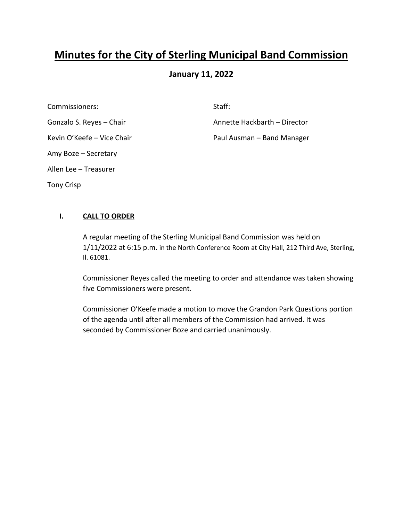# **Minutes for the City of Sterling Municipal Band Commission**

# **January 11, 2022**

Commissioners: Staff: Staff: Staff: Staff: Staff: Staff: Staff: Staff: Staff: Staff: Staff: Staff: Staff: Staff: Staff: Staff: Staff: Staff: Staff: Staff: Staff: Staff: Staff: Staff: Staff: Staff: Staff: Staff: Staff: Staf Amy Boze – Secretary Allen Lee – Treasurer Tony Crisp

Gonzalo S. Reyes – Chair **Annette Hackbarth – Director** Annette Hackbarth – Director

Kevin O'Keefe – Vice Chair **Paul Ausman – Band Manager** 

## **I. CALL TO ORDER**

A regular meeting of the Sterling Municipal Band Commission was held on 1/11/2022 at 6:15 p.m. in the North Conference Room at City Hall, 212 Third Ave, Sterling, Il. 61081.

Commissioner Reyes called the meeting to order and attendance was taken showing five Commissioners were present.

Commissioner O'Keefe made a motion to move the Grandon Park Questions portion of the agenda until after all members of the Commission had arrived. It was seconded by Commissioner Boze and carried unanimously.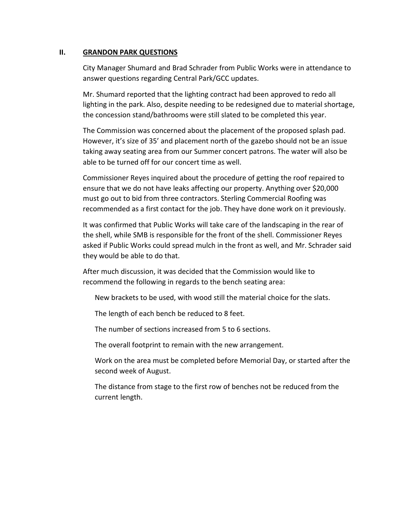#### **II. GRANDON PARK QUESTIONS**

City Manager Shumard and Brad Schrader from Public Works were in attendance to answer questions regarding Central Park/GCC updates.

Mr. Shumard reported that the lighting contract had been approved to redo all lighting in the park. Also, despite needing to be redesigned due to material shortage, the concession stand/bathrooms were still slated to be completed this year.

The Commission was concerned about the placement of the proposed splash pad. However, it's size of 35' and placement north of the gazebo should not be an issue taking away seating area from our Summer concert patrons. The water will also be able to be turned off for our concert time as well.

Commissioner Reyes inquired about the procedure of getting the roof repaired to ensure that we do not have leaks affecting our property. Anything over \$20,000 must go out to bid from three contractors. Sterling Commercial Roofing was recommended as a first contact for the job. They have done work on it previously.

It was confirmed that Public Works will take care of the landscaping in the rear of the shell, while SMB is responsible for the front of the shell. Commissioner Reyes asked if Public Works could spread mulch in the front as well, and Mr. Schrader said they would be able to do that.

After much discussion, it was decided that the Commission would like to recommend the following in regards to the bench seating area:

New brackets to be used, with wood still the material choice for the slats.

The length of each bench be reduced to 8 feet.

The number of sections increased from 5 to 6 sections.

The overall footprint to remain with the new arrangement.

Work on the area must be completed before Memorial Day, or started after the second week of August.

The distance from stage to the first row of benches not be reduced from the current length.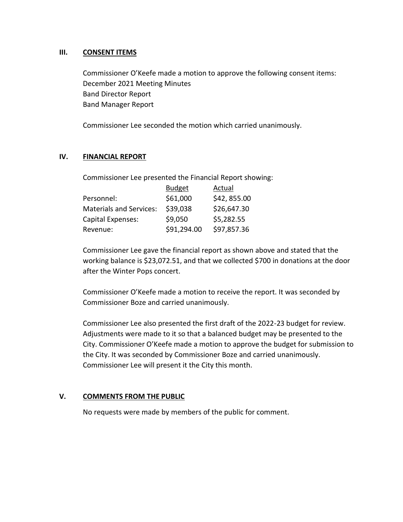## **III. CONSENT ITEMS**

Commissioner O'Keefe made a motion to approve the following consent items: December 2021 Meeting Minutes Band Director Report Band Manager Report

Commissioner Lee seconded the motion which carried unanimously.

## **IV. FINANCIAL REPORT**

Commissioner Lee presented the Financial Report showing:

| <b>Budget</b> | Actual      |
|---------------|-------------|
| \$61,000      | \$42,855.00 |
| \$39,038      | \$26,647.30 |
| \$9,050       | \$5,282.55  |
| \$91,294.00   | \$97,857.36 |
|               |             |

Commissioner Lee gave the financial report as shown above and stated that the working balance is \$23,072.51, and that we collected \$700 in donations at the door after the Winter Pops concert.

Commissioner O'Keefe made a motion to receive the report. It was seconded by Commissioner Boze and carried unanimously.

Commissioner Lee also presented the first draft of the 2022-23 budget for review. Adjustments were made to it so that a balanced budget may be presented to the City. Commissioner O'Keefe made a motion to approve the budget for submission to the City. It was seconded by Commissioner Boze and carried unanimously. Commissioner Lee will present it the City this month.

## **V. COMMENTS FROM THE PUBLIC**

No requests were made by members of the public for comment.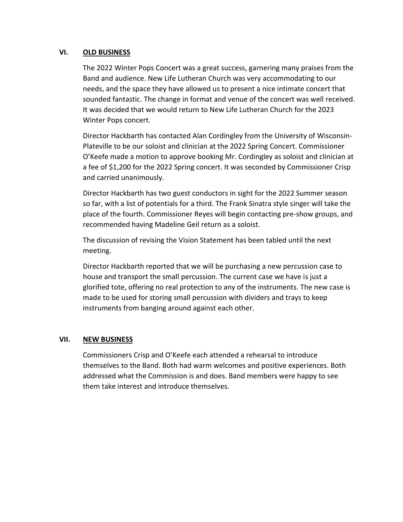## **VI. OLD BUSINESS**

The 2022 Winter Pops Concert was a great success, garnering many praises from the Band and audience. New Life Lutheran Church was very accommodating to our needs, and the space they have allowed us to present a nice intimate concert that sounded fantastic. The change in format and venue of the concert was well received. It was decided that we would return to New Life Lutheran Church for the 2023 Winter Pops concert.

Director Hackbarth has contacted Alan Cordingley from the University of Wisconsin-Plateville to be our soloist and clinician at the 2022 Spring Concert. Commissioner O'Keefe made a motion to approve booking Mr. Cordingley as soloist and clinician at a fee of \$1,200 for the 2022 Spring concert. It was seconded by Commissioner Crisp and carried unanimously.

Director Hackbarth has two guest conductors in sight for the 2022 Summer season so far, with a list of potentials for a third. The Frank Sinatra style singer will take the place of the fourth. Commissioner Reyes will begin contacting pre-show groups, and recommended having Madeline Geil return as a soloist.

The discussion of revising the Vision Statement has been tabled until the next meeting.

Director Hackbarth reported that we will be purchasing a new percussion case to house and transport the small percussion. The current case we have is just a glorified tote, offering no real protection to any of the instruments. The new case is made to be used for storing small percussion with dividers and trays to keep instruments from banging around against each other.

## **VII. NEW BUSINESS**

Commissioners Crisp and O'Keefe each attended a rehearsal to introduce themselves to the Band. Both had warm welcomes and positive experiences. Both addressed what the Commission is and does. Band members were happy to see them take interest and introduce themselves.